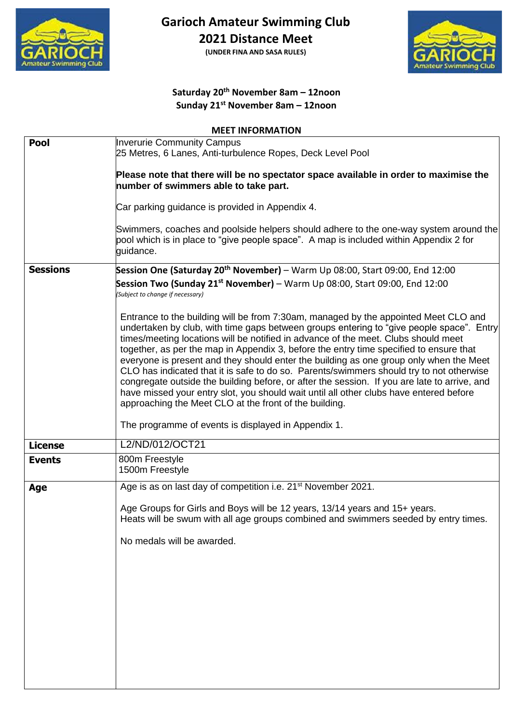

**2021 Distance Meet**

**(UNDER FINA AND SASA RULES)**



## **Saturday 20th November 8am – 12noon Sunday 21st November 8am – 12noon**

#### **MEET INFORMATION**

| Pool            | <b>Inverurie Community Campus</b><br>25 Metres, 6 Lanes, Anti-turbulence Ropes, Deck Level Pool                                                                                                                                                                                                                                                                                                                                                                                                                                                                                                                                                                                                                                                                                                                                                                  |
|-----------------|------------------------------------------------------------------------------------------------------------------------------------------------------------------------------------------------------------------------------------------------------------------------------------------------------------------------------------------------------------------------------------------------------------------------------------------------------------------------------------------------------------------------------------------------------------------------------------------------------------------------------------------------------------------------------------------------------------------------------------------------------------------------------------------------------------------------------------------------------------------|
|                 | Please note that there will be no spectator space available in order to maximise the<br>number of swimmers able to take part.                                                                                                                                                                                                                                                                                                                                                                                                                                                                                                                                                                                                                                                                                                                                    |
|                 | Car parking guidance is provided in Appendix 4.                                                                                                                                                                                                                                                                                                                                                                                                                                                                                                                                                                                                                                                                                                                                                                                                                  |
|                 | Swimmers, coaches and poolside helpers should adhere to the one-way system around the<br>pool which is in place to "give people space". A map is included within Appendix 2 for<br>quidance.                                                                                                                                                                                                                                                                                                                                                                                                                                                                                                                                                                                                                                                                     |
| <b>Sessions</b> | Session One (Saturday 20 <sup>th</sup> November) - Warm Up 08:00, Start 09:00, End 12:00                                                                                                                                                                                                                                                                                                                                                                                                                                                                                                                                                                                                                                                                                                                                                                         |
|                 | Session Two (Sunday 21 <sup>st</sup> November) – Warm Up 08:00, Start 09:00, End 12:00<br>(Subject to change if necessary)                                                                                                                                                                                                                                                                                                                                                                                                                                                                                                                                                                                                                                                                                                                                       |
|                 | Entrance to the building will be from 7:30am, managed by the appointed Meet CLO and<br>undertaken by club, with time gaps between groups entering to "give people space". Entry<br>times/meeting locations will be notified in advance of the meet. Clubs should meet<br>together, as per the map in Appendix 3, before the entry time specified to ensure that<br>everyone is present and they should enter the building as one group only when the Meet<br>CLO has indicated that it is safe to do so. Parents/swimmers should try to not otherwise<br>congregate outside the building before, or after the session. If you are late to arrive, and<br>have missed your entry slot, you should wait until all other clubs have entered before<br>approaching the Meet CLO at the front of the building.<br>The programme of events is displayed in Appendix 1. |
| <b>License</b>  | L2/ND/012/OCT21                                                                                                                                                                                                                                                                                                                                                                                                                                                                                                                                                                                                                                                                                                                                                                                                                                                  |
|                 |                                                                                                                                                                                                                                                                                                                                                                                                                                                                                                                                                                                                                                                                                                                                                                                                                                                                  |
| <b>Events</b>   | 800m Freestyle<br>1500m Freestyle                                                                                                                                                                                                                                                                                                                                                                                                                                                                                                                                                                                                                                                                                                                                                                                                                                |
| Age             | Age is as on last day of competition i.e. 21 <sup>st</sup> November 2021.                                                                                                                                                                                                                                                                                                                                                                                                                                                                                                                                                                                                                                                                                                                                                                                        |
|                 | Age Groups for Girls and Boys will be 12 years, 13/14 years and 15+ years.<br>Heats will be swum with all age groups combined and swimmers seeded by entry times.                                                                                                                                                                                                                                                                                                                                                                                                                                                                                                                                                                                                                                                                                                |
|                 | No medals will be awarded.                                                                                                                                                                                                                                                                                                                                                                                                                                                                                                                                                                                                                                                                                                                                                                                                                                       |
|                 |                                                                                                                                                                                                                                                                                                                                                                                                                                                                                                                                                                                                                                                                                                                                                                                                                                                                  |
|                 |                                                                                                                                                                                                                                                                                                                                                                                                                                                                                                                                                                                                                                                                                                                                                                                                                                                                  |
|                 |                                                                                                                                                                                                                                                                                                                                                                                                                                                                                                                                                                                                                                                                                                                                                                                                                                                                  |
|                 |                                                                                                                                                                                                                                                                                                                                                                                                                                                                                                                                                                                                                                                                                                                                                                                                                                                                  |
|                 |                                                                                                                                                                                                                                                                                                                                                                                                                                                                                                                                                                                                                                                                                                                                                                                                                                                                  |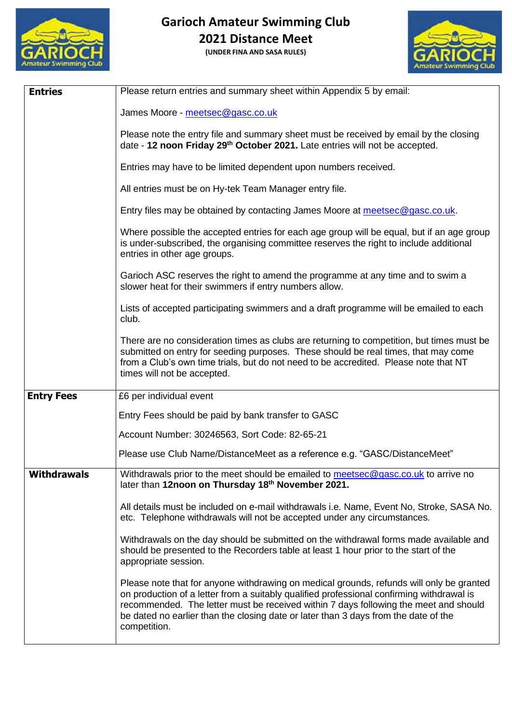

**2021 Distance Meet**

**(UNDER FINA AND SASA RULES)**



| <b>Entries</b>     | Please return entries and summary sheet within Appendix 5 by email:                                                                                                                                                                                                                                                                                                                  |
|--------------------|--------------------------------------------------------------------------------------------------------------------------------------------------------------------------------------------------------------------------------------------------------------------------------------------------------------------------------------------------------------------------------------|
|                    | James Moore - meetsec@gasc.co.uk                                                                                                                                                                                                                                                                                                                                                     |
|                    | Please note the entry file and summary sheet must be received by email by the closing<br>date - 12 noon Friday 29 <sup>th</sup> October 2021. Late entries will not be accepted.                                                                                                                                                                                                     |
|                    | Entries may have to be limited dependent upon numbers received.                                                                                                                                                                                                                                                                                                                      |
|                    | All entries must be on Hy-tek Team Manager entry file.                                                                                                                                                                                                                                                                                                                               |
|                    | Entry files may be obtained by contacting James Moore at meetsec@gasc.co.uk.                                                                                                                                                                                                                                                                                                         |
|                    | Where possible the accepted entries for each age group will be equal, but if an age group<br>is under-subscribed, the organising committee reserves the right to include additional<br>entries in other age groups.                                                                                                                                                                  |
|                    | Garioch ASC reserves the right to amend the programme at any time and to swim a<br>slower heat for their swimmers if entry numbers allow.                                                                                                                                                                                                                                            |
|                    | Lists of accepted participating swimmers and a draft programme will be emailed to each<br>club.                                                                                                                                                                                                                                                                                      |
|                    | There are no consideration times as clubs are returning to competition, but times must be<br>submitted on entry for seeding purposes. These should be real times, that may come<br>from a Club's own time trials, but do not need to be accredited. Please note that NT<br>times will not be accepted.                                                                               |
| <b>Entry Fees</b>  | £6 per individual event                                                                                                                                                                                                                                                                                                                                                              |
|                    | Entry Fees should be paid by bank transfer to GASC                                                                                                                                                                                                                                                                                                                                   |
|                    | Account Number: 30246563, Sort Code: 82-65-21                                                                                                                                                                                                                                                                                                                                        |
|                    | Please use Club Name/DistanceMeet as a reference e.g. "GASC/DistanceMeet"                                                                                                                                                                                                                                                                                                            |
| <b>Withdrawals</b> | Withdrawals prior to the meet should be emailed to meetsec@gasc.co.uk to arrive no<br>later than 12noon on Thursday 18th November 2021.                                                                                                                                                                                                                                              |
|                    | All details must be included on e-mail withdrawals i.e. Name, Event No, Stroke, SASA No.<br>etc. Telephone withdrawals will not be accepted under any circumstances.                                                                                                                                                                                                                 |
|                    | Withdrawals on the day should be submitted on the withdrawal forms made available and<br>should be presented to the Recorders table at least 1 hour prior to the start of the<br>appropriate session.                                                                                                                                                                                |
|                    | Please note that for anyone withdrawing on medical grounds, refunds will only be granted<br>on production of a letter from a suitably qualified professional confirming withdrawal is<br>recommended. The letter must be received within 7 days following the meet and should<br>be dated no earlier than the closing date or later than 3 days from the date of the<br>competition. |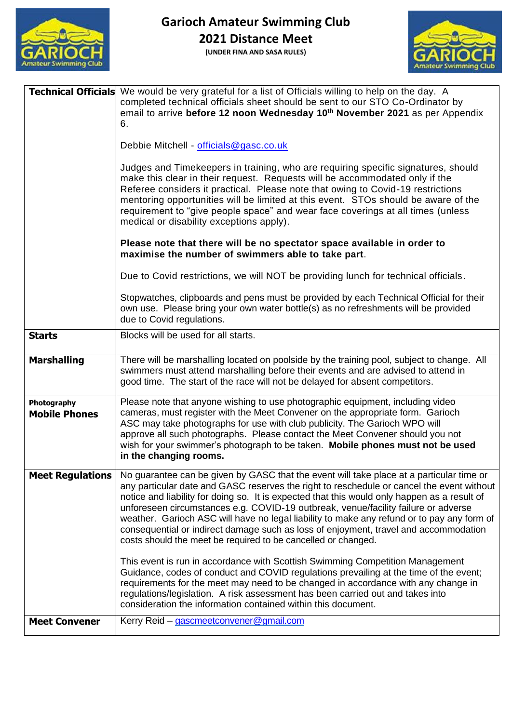

**(UNDER FINA AND SASA RULES)**



|                                     | <b>Technical Officials</b> We would be very grateful for a list of Officials willing to help on the day. A<br>completed technical officials sheet should be sent to our STO Co-Ordinator by<br>email to arrive before 12 noon Wednesday 10th November 2021 as per Appendix<br>6.                                                                                                                                                                                                                                                                                                                                                   |
|-------------------------------------|------------------------------------------------------------------------------------------------------------------------------------------------------------------------------------------------------------------------------------------------------------------------------------------------------------------------------------------------------------------------------------------------------------------------------------------------------------------------------------------------------------------------------------------------------------------------------------------------------------------------------------|
|                                     | Debbie Mitchell - officials@gasc.co.uk                                                                                                                                                                                                                                                                                                                                                                                                                                                                                                                                                                                             |
|                                     | Judges and Timekeepers in training, who are requiring specific signatures, should<br>make this clear in their request. Requests will be accommodated only if the<br>Referee considers it practical. Please note that owing to Covid-19 restrictions<br>mentoring opportunities will be limited at this event. STOs should be aware of the<br>requirement to "give people space" and wear face coverings at all times (unless<br>medical or disability exceptions apply).                                                                                                                                                           |
|                                     | Please note that there will be no spectator space available in order to<br>maximise the number of swimmers able to take part.                                                                                                                                                                                                                                                                                                                                                                                                                                                                                                      |
|                                     | Due to Covid restrictions, we will NOT be providing lunch for technical officials.                                                                                                                                                                                                                                                                                                                                                                                                                                                                                                                                                 |
|                                     | Stopwatches, clipboards and pens must be provided by each Technical Official for their<br>own use. Please bring your own water bottle(s) as no refreshments will be provided<br>due to Covid regulations.                                                                                                                                                                                                                                                                                                                                                                                                                          |
| <b>Starts</b>                       | Blocks will be used for all starts.                                                                                                                                                                                                                                                                                                                                                                                                                                                                                                                                                                                                |
| <b>Marshalling</b>                  | There will be marshalling located on poolside by the training pool, subject to change. All<br>swimmers must attend marshalling before their events and are advised to attend in<br>good time. The start of the race will not be delayed for absent competitors.                                                                                                                                                                                                                                                                                                                                                                    |
| Photography<br><b>Mobile Phones</b> | Please note that anyone wishing to use photographic equipment, including video<br>cameras, must register with the Meet Convener on the appropriate form. Garioch<br>ASC may take photographs for use with club publicity. The Garioch WPO will<br>approve all such photographs. Please contact the Meet Convener should you not<br>wish for your swimmer's photograph to be taken. Mobile phones must not be used<br>in the changing rooms.                                                                                                                                                                                        |
| <b>Meet Regulations</b>             | No guarantee can be given by GASC that the event will take place at a particular time or<br>any particular date and GASC reserves the right to reschedule or cancel the event without<br>notice and liability for doing so. It is expected that this would only happen as a result of<br>unforeseen circumstances e.g. COVID-19 outbreak, venue/facility failure or adverse<br>weather. Garioch ASC will have no legal liability to make any refund or to pay any form of<br>consequential or indirect damage such as loss of enjoyment, travel and accommodation<br>costs should the meet be required to be cancelled or changed. |
|                                     | This event is run in accordance with Scottish Swimming Competition Management<br>Guidance, codes of conduct and COVID regulations prevailing at the time of the event;<br>requirements for the meet may need to be changed in accordance with any change in<br>regulations/legislation. A risk assessment has been carried out and takes into<br>consideration the information contained within this document.                                                                                                                                                                                                                     |
| <b>Meet Convener</b>                | Kerry Reid - gascmeetconvener@gmail.com                                                                                                                                                                                                                                                                                                                                                                                                                                                                                                                                                                                            |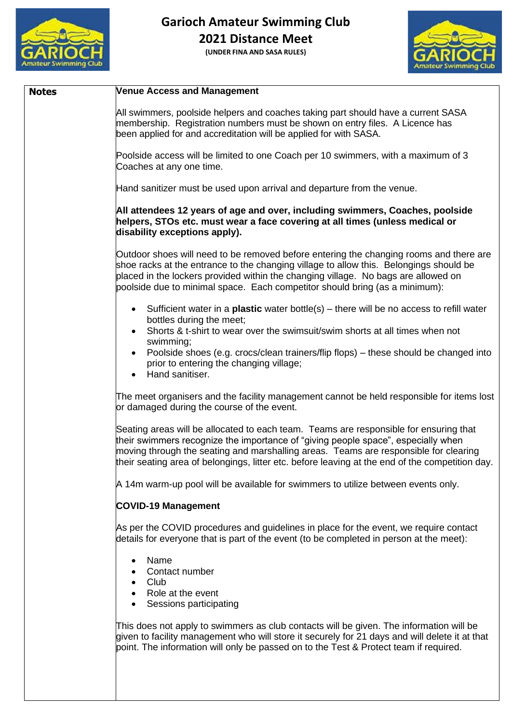

**2021 Distance Meet**

**(UNDER FINA AND SASA RULES)**



| <b>Notes</b> | <b>Venue Access and Management</b>                                                                                                                                                                                                                                                                                                                                    |
|--------------|-----------------------------------------------------------------------------------------------------------------------------------------------------------------------------------------------------------------------------------------------------------------------------------------------------------------------------------------------------------------------|
|              | All swimmers, poolside helpers and coaches taking part should have a current SASA<br>membership. Registration numbers must be shown on entry files. A Licence has<br>been applied for and accreditation will be applied for with SASA.                                                                                                                                |
|              | Poolside access will be limited to one Coach per 10 swimmers, with a maximum of 3<br>Coaches at any one time.                                                                                                                                                                                                                                                         |
|              | Hand sanitizer must be used upon arrival and departure from the venue.                                                                                                                                                                                                                                                                                                |
|              | All attendees 12 years of age and over, including swimmers, Coaches, poolside<br>helpers, STOs etc. must wear a face covering at all times (unless medical or<br>disability exceptions apply).                                                                                                                                                                        |
|              | Outdoor shoes will need to be removed before entering the changing rooms and there are<br>shoe racks at the entrance to the changing village to allow this. Belongings should be<br>placed in the lockers provided within the changing village. No bags are allowed on<br>poolside due to minimal space. Each competitor should bring (as a minimum):                 |
|              | • Sufficient water in a <b>plastic</b> water bottle(s) – there will be no access to refill water<br>bottles during the meet;<br>Shorts & t-shirt to wear over the swimsuit/swim shorts at all times when not<br>swimming;                                                                                                                                             |
|              | Poolside shoes (e.g. crocs/clean trainers/flip flops) – these should be changed into<br>prior to entering the changing village;<br>Hand sanitiser.                                                                                                                                                                                                                    |
|              | The meet organisers and the facility management cannot be held responsible for items lost<br>or damaged during the course of the event.                                                                                                                                                                                                                               |
|              | Seating areas will be allocated to each team. Teams are responsible for ensuring that<br>their swimmers recognize the importance of "giving people space", especially when<br>moving through the seating and marshalling areas. Teams are responsible for clearing<br>their seating area of belongings, litter etc. before leaving at the end of the competition day. |
|              | A 14m warm-up pool will be available for swimmers to utilize between events only.                                                                                                                                                                                                                                                                                     |
|              | <b>COVID-19 Management</b>                                                                                                                                                                                                                                                                                                                                            |
|              | As per the COVID procedures and guidelines in place for the event, we require contact<br>details for everyone that is part of the event (to be completed in person at the meet):                                                                                                                                                                                      |
|              | Name<br>$\bullet$<br>Contact number<br>Club<br>$\bullet$<br>Role at the event<br>$\bullet$<br>Sessions participating<br>$\bullet$                                                                                                                                                                                                                                     |
|              | This does not apply to swimmers as club contacts will be given. The information will be<br>given to facility management who will store it securely for 21 days and will delete it at that<br>point. The information will only be passed on to the Test & Protect team if required.                                                                                    |
|              |                                                                                                                                                                                                                                                                                                                                                                       |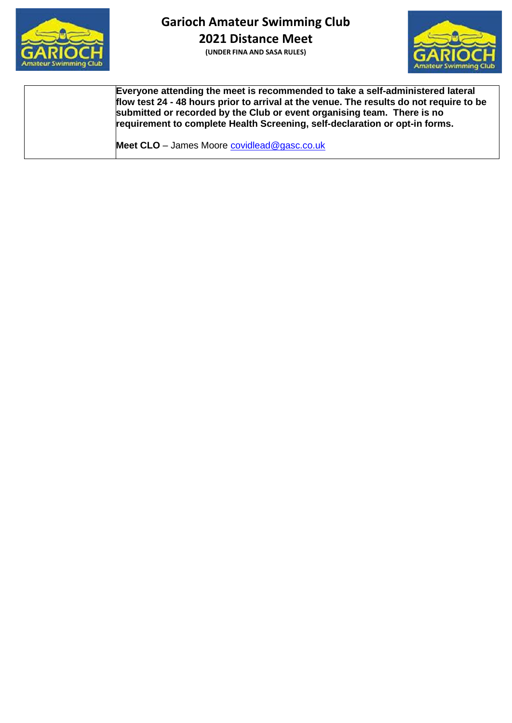

**2021 Distance Meet (UNDER FINA AND SASA RULES)**



**Everyone attending the meet is recommended to take a self-administered lateral flow test 24 - 48 hours prior to arrival at the venue. The results do not require to be submitted or recorded by the Club or event organising team. There is no requirement to complete Health Screening, self-declaration or opt-in forms.**

Meet CLO - James Moore **covidlead@gasc.co.uk**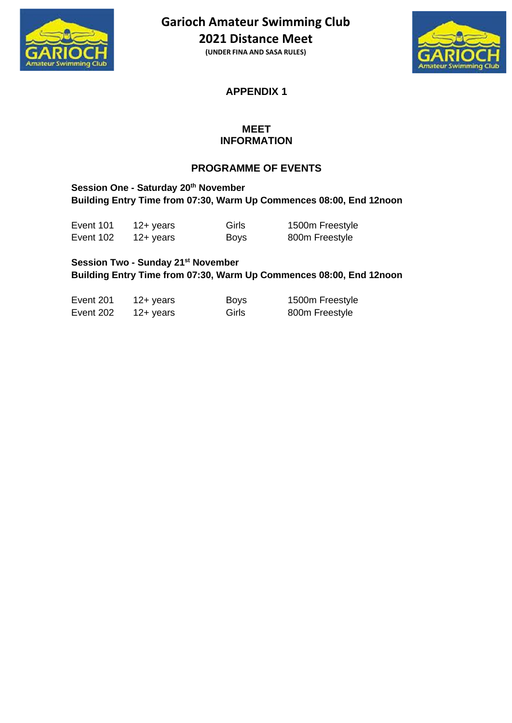

**2021 Distance Meet**

**(UNDER FINA AND SASA RULES)**



**APPENDIX 1**

## **MEET INFORMATION**

## **PROGRAMME OF EVENTS**

## **Session One - Saturday 20th November Building Entry Time from 07:30, Warm Up Commences 08:00, End 12noon**

| Event 101 | 12+ years          | Girls       | 1500m Freestyle |
|-----------|--------------------|-------------|-----------------|
| Event 102 | $12 + \gamma$ ears | <b>Boys</b> | 800m Freestyle  |

### **Session Two - Sunday 21st November Building Entry Time from 07:30, Warm Up Commences 08:00, End 12noon**

| Event 201 | $12 + \gamma$ ears | <b>Boys</b> | 1500m Freestyle |
|-----------|--------------------|-------------|-----------------|
| Event 202 | $12 + \gamma$ ears | Girls       | 800m Freestyle  |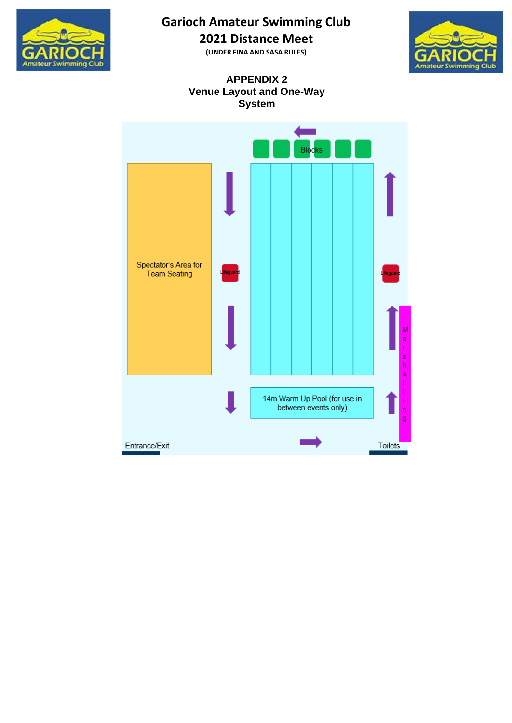

**2021 Distance Meet**

**(UNDER FINA AND SASA RULES)**



**APPENDIX 2 Venue Layout and One-Way System**

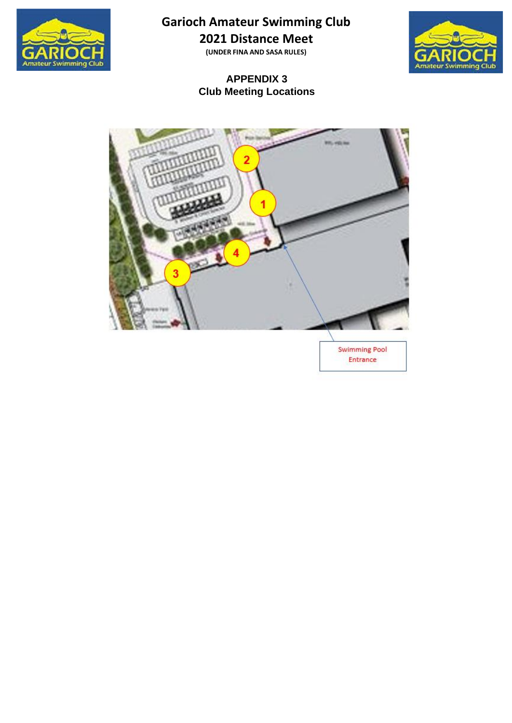

**2021 Distance Meet**

**(UNDER FINA AND SASA RULES)**

## **APPENDIX 3 Club Meeting Locations**





**Swimming Pool** Entrance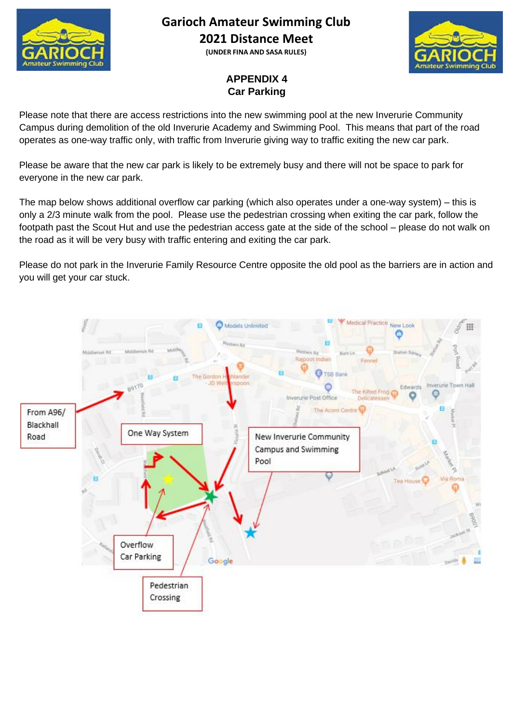

**Garioch Amateur Swimming Club 2021 Distance Meet**

**(UNDER FINA AND SASA RULES)**



## **APPENDIX 4 Car Parking**

Please note that there are access restrictions into the new swimming pool at the new Inverurie Community Campus during demolition of the old Inverurie Academy and Swimming Pool. This means that part of the road operates as one-way traffic only, with traffic from Inverurie giving way to traffic exiting the new car park.

Please be aware that the new car park is likely to be extremely busy and there will not be space to park for everyone in the new car park.

The map below shows additional overflow car parking (which also operates under a one-way system) – this is only a 2/3 minute walk from the pool. Please use the pedestrian crossing when exiting the car park, follow the footpath past the Scout Hut and use the pedestrian access gate at the side of the school – please do not walk on the road as it will be very busy with traffic entering and exiting the car park.

Please do not park in the Inverurie Family Resource Centre opposite the old pool as the barriers are in action and you will get your car stuck.

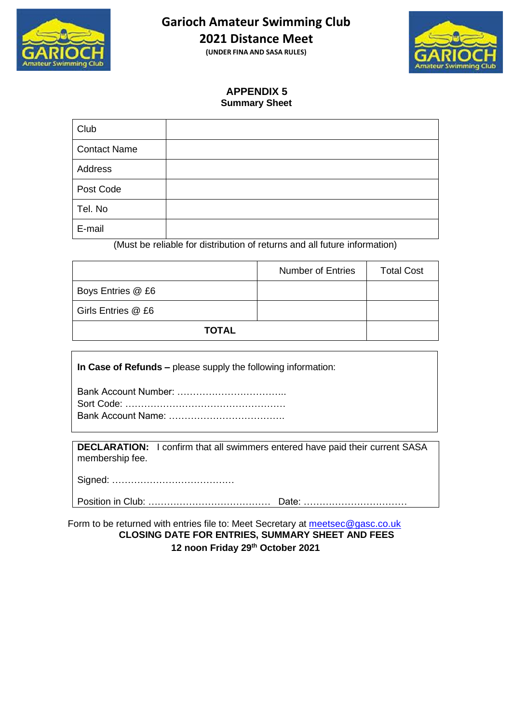

**2021 Distance Meet**

**(UNDER FINA AND SASA RULES)**



#### **APPENDIX 5 Summary Sheet**

| Club                |  |
|---------------------|--|
| <b>Contact Name</b> |  |
| Address             |  |
| Post Code           |  |
| Tel. No             |  |
| E-mail              |  |

(Must be reliable for distribution of returns and all future information)

|                    | <b>Number of Entries</b> | <b>Total Cost</b> |
|--------------------|--------------------------|-------------------|
| Boys Entries @ £6  |                          |                   |
| Girls Entries @ £6 |                          |                   |
| <b>TOTAL</b>       |                          |                   |

**In Case of Refunds –** please supply the following information:

**DECLARATION:** I confirm that all swimmers entered have paid their current SASA membership fee.

Signed: …………………………………

Position in Club: ………………………………… Date: ……………………………

Form to be returned with entries file to: Meet Secretary at [meetsec@gasc.co.uk](mailto:meetsec@gasc.co.uk) **CLOSING DATE FOR ENTRIES, SUMMARY SHEET AND FEES 12 noon Friday 29th October 2021**